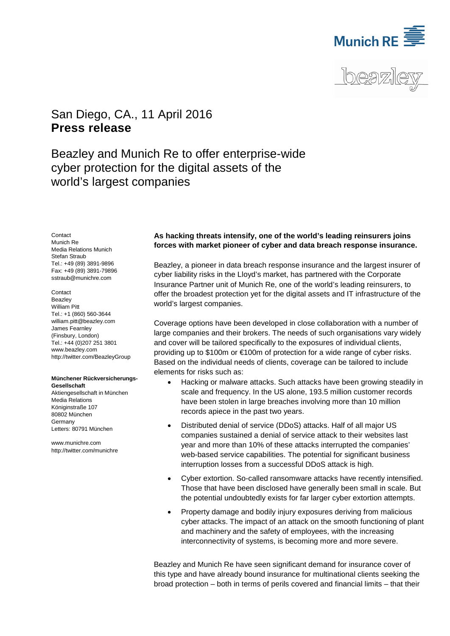



# <span id="page-0-1"></span><span id="page-0-0"></span>San Diego, CA., 11 April 2016 **Press release**

Beazley and Munich Re to offer enterprise-wide cyber protection for the digital assets of the world's largest companies

<span id="page-0-2"></span>**Contact** Munich Re Media Relations Munich Stefan Straub Tel.: +49 (89) 3891-9896 Fax: +49 (89) 3891-79896 sstraub@munichre.com

### **Contact**

**Beazley** William Pitt Tel.: +1 (860) 560-3644 [william.pitt@beazley.com](mailto:william.pitt@beazley.com) James Fearnley (Finsbury, London) Tel.: +44 (0)207 251 3801 [www.beazley.com](http://www.beazley.com/) http://twitter.com/BeazleyGroup

### **Münchener Rückversicherungs-Gesellschaft**

Aktiengesellschaft in München Media Relations Königinstraße 107 80802 München Germany Letters: 80791 München

www.munichre.com http://twitter.com/munichre

## **As hacking threats intensify, one of the world's leading reinsurers joins forces with market pioneer of cyber and data breach response insurance.**

<span id="page-0-3"></span>Beazley, a pioneer in data breach response insurance and the largest insurer of cyber liability risks in the Lloyd's market, has partnered with the Corporate Insurance Partner unit of Munich Re, one of the world's leading reinsurers, to offer the broadest protection yet for the digital assets and IT infrastructure of the world's largest companies.

Coverage options have been developed in close collaboration with a number of large companies and their brokers. The needs of such organisations vary widely and cover will be tailored specifically to the exposures of individual clients, providing up to \$100m or €100m of protection for a wide range of cyber risks. Based on the individual needs of clients, coverage can be tailored to include elements for risks such as:

- Hacking or malware attacks. Such attacks have been growing steadily in scale and frequency. In the US alone, 193.5 million customer records have been stolen in large breaches involving more than 10 million records apiece in the past two years.
- Distributed denial of service (DDoS) attacks. Half of all major US companies sustained a denial of service attack to their websites last year and more than 10% of these attacks interrupted the companies' web-based service capabilities. The potential for significant business interruption losses from a successful DDoS attack is high.
- Cyber extortion. So-called ransomware attacks have recently intensified. Those that have been disclosed have generally been small in scale. But the potential undoubtedly exists for far larger cyber extortion attempts.
- Property damage and bodily injury exposures deriving from malicious cyber attacks. The impact of an attack on the smooth functioning of plant and machinery and the safety of employees, with the increasing interconnectivity of systems, is becoming more and more severe.

Beazley and Munich Re have seen significant demand for insurance cover of this type and have already bound insurance for multinational clients seeking the broad protection – both in terms of perils covered and financial limits – that their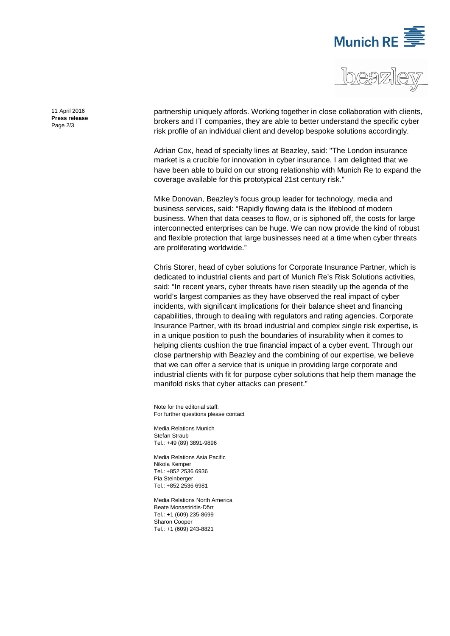



[11 April 2016](#page-0-0) **Press [release](#page-0-1)** Page 2/3

partnership uniquely affords. Working together in close collaboration with clients, brokers and IT companies, they are able to better understand the specific cyber risk profile of an individual client and develop bespoke solutions accordingly.

Adrian Cox, head of specialty lines at Beazley, said: "The London insurance market is a crucible for innovation in cyber insurance. I am delighted that we have been able to build on our strong relationship with Munich Re to expand the coverage available for this prototypical 21st century risk."

Mike Donovan, Beazley's focus group leader for technology, media and business services, said: "Rapidly flowing data is the lifeblood of modern business. When that data ceases to flow, or is siphoned off, the costs for large interconnected enterprises can be huge. We can now provide the kind of robust and flexible protection that large businesses need at a time when cyber threats are proliferating worldwide."

Chris Storer, head of cyber solutions for Corporate Insurance Partner, which is dedicated to industrial clients and part of Munich Re's Risk Solutions activities, said: "In recent years, cyber threats have risen steadily up the agenda of the world's largest companies as they have observed the real impact of cyber incidents, with significant implications for their balance sheet and financing capabilities, through to dealing with regulators and rating agencies. Corporate Insurance Partner, with its broad industrial and complex single risk expertise, is in a unique position to push the boundaries of insurability when it comes to helping clients cushion the true financial impact of a cyber event. Through our close partnership with Beazley and the combining of our expertise, we believe that we can offer a service that is unique in providing large corporate and industrial clients with fit for purpose cyber solutions that help them manage the manifold risks that cyber attacks can present."

Note for the editorial staff: For further questions please contact

Media Relations Munich [Stefan Straub](#page-0-2) Tel.: +49 (89) 3891[-9896](#page-0-3)

Media Relations Asia Pacific Nikola Kemper Tel.: +852 2536 6936 Pia Steinberger Tel.: +852 2536 6981

Media Relations North America Beate Monastiridis-Dörr Tel.: +1 (609) 235-8699 Sharon Cooper Tel.: +1 (609) 243-8821